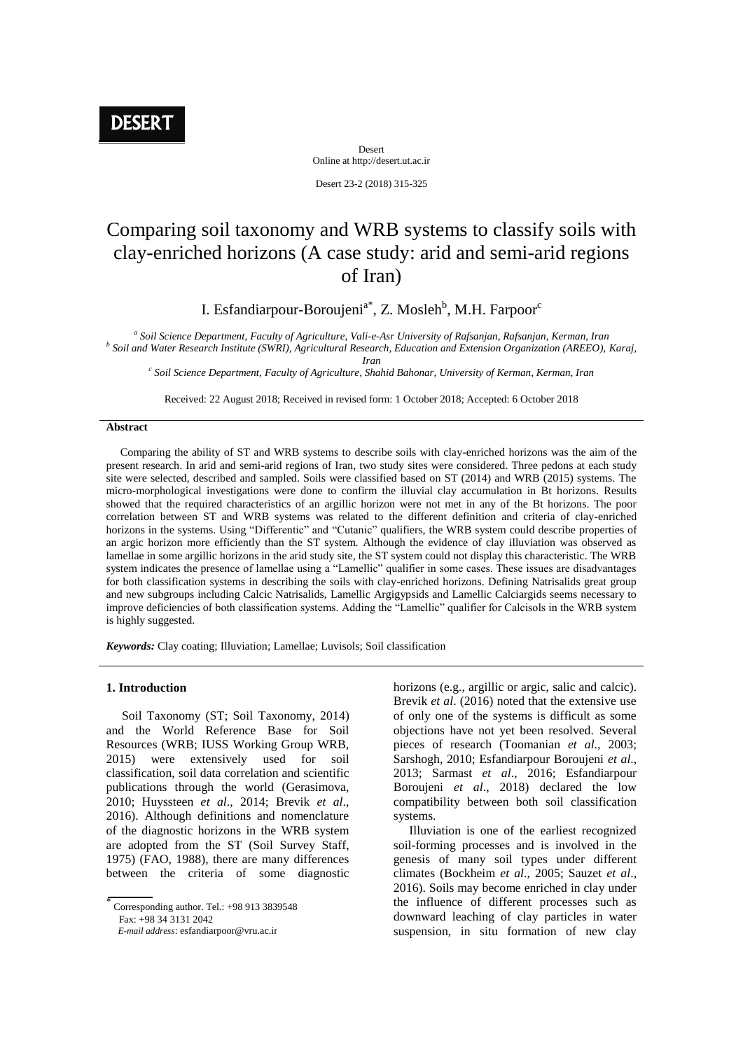Desert Online at http://desert.ut.ac.ir

Desert 23-2 (2018) 315-325

# Comparing soil taxonomy and WRB systems to classify soils with clay-enriched horizons (A case study: arid and semi-arid regions of Iran)

I. Esfandiarpour-Boroujeni<sup>a\*</sup>, Z. Mosleh<sup>b</sup>, M.H. Farpoor<sup>c</sup>

*a Soil Science Department, Faculty of Agriculture, Vali-e-Asr University of Rafsanjan, Rafsanjan, Kerman, Iran b Soil and Water Research Institute (SWRI), Agricultural Research, Education and Extension Organization (AREEO), Karaj,* 

*Iran*

*c Soil Science Department, Faculty of Agriculture, Shahid Bahonar, University of Kerman, Kerman, Iran*

Received: 22 August 2018; Received in revised form: 1 October 2018; Accepted: 6 October 2018

#### **Abstract**

 Comparing the ability of ST and WRB systems to describe soils with clay-enriched horizons was the aim of the present research. In arid and semi-arid regions of Iran, two study sites were considered. Three pedons at each study site were selected, described and sampled. Soils were classified based on ST (2014) and WRB (2015) systems. The micro-morphological investigations were done to confirm the illuvial clay accumulation in Bt horizons. Results showed that the required characteristics of an argillic horizon were not met in any of the Bt horizons. The poor correlation between ST and WRB systems was related to the different definition and criteria of clay-enriched horizons in the systems. Using "Differentic" and "Cutanic" qualifiers, the WRB system could describe properties of an argic horizon more efficiently than the ST system. Although the evidence of clay illuviation was observed as lamellae in some argillic horizons in the arid study site, the ST system could not display this characteristic. The WRB system indicates the presence of lamellae using a "Lamellic" qualifier in some cases. These issues are disadvantages for both classification systems in describing the soils with clay-enriched horizons. Defining Natrisalids great group and new subgroups including Calcic Natrisalids, Lamellic Argigypsids and Lamellic Calciargids seems necessary to improve deficiencies of both classification systems. Adding the "Lamellic" qualifier for Calcisols in the WRB system is highly suggested.

*Keywords:* Clay coating; Illuviation; Lamellae; Luvisols; Soil classification

#### **1. Introduction**

 Soil Taxonomy (ST; Soil Taxonomy, 2014) and the World Reference Base for Soil Resources (WRB; IUSS Working Group WRB, 2015) were extensively used for soil classification, soil data correlation and scientific publications through the world (Gerasimova, 2010; Huyssteen *et al*., 2014; Brevik *et al*., 2016). Although definitions and nomenclature of the diagnostic horizons in the WRB system are adopted from the ST (Soil Survey Staff, 1975) (FAO, 1988), there are many differences between the criteria of some diagnostic

Fax: +98 34 3131 2042

horizons (e.g., argillic or argic, salic and calcic). Brevik *et al*. (2016) noted that the extensive use of only one of the systems is difficult as some objections have not yet been resolved. Several pieces of research (Toomanian *et al*., 2003; Sarshogh, 2010; Esfandiarpour Boroujeni *et al*., 2013; Sarmast *et al*., 2016; Esfandiarpour Boroujeni *et al*., 2018) declared the low compatibility between both soil classification systems.

 Illuviation is one of the earliest recognized soil-forming processes and is involved in the genesis of many soil types under different climates (Bockheim *et al*., 2005; Sauzet *et al*., 2016). Soils may become enriched in clay under the influence of different processes such as downward leaching of clay particles in water suspension, in situ formation of new clay

ł Corresponding author. Tel.: +98 913 3839548

*E-mail address*: esfandiarpoor@vru.ac.ir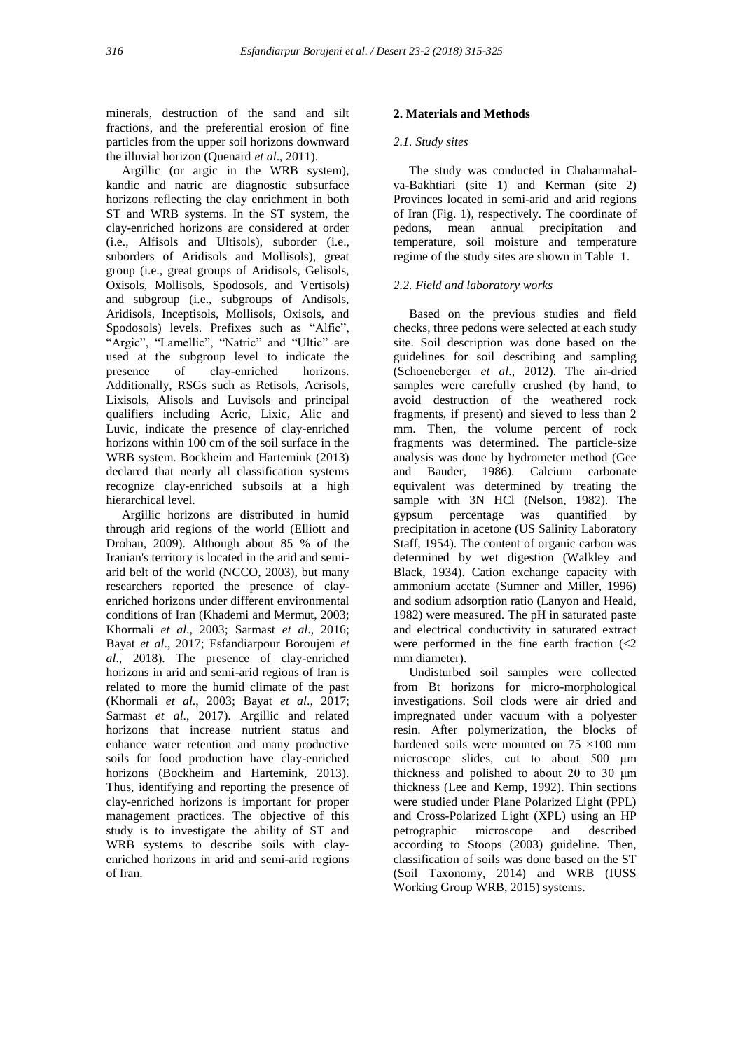minerals, destruction of the sand and silt fractions, and the preferential erosion of fine particles from the upper soil horizons downward the illuvial horizon (Quenard *et al*., 2011).

 Argillic (or argic in the WRB system), kandic and natric are diagnostic subsurface horizons reflecting the clay enrichment in both ST and WRB systems. In the ST system, the clay-enriched horizons are considered at order (i.e., Alfisols and Ultisols), suborder (i.e., suborders of Aridisols and Mollisols), great group (i.e., great groups of Aridisols, Gelisols, Oxisols, Mollisols, Spodosols, and Vertisols) and subgroup (i.e., subgroups of Andisols, Aridisols, Inceptisols, Mollisols, Oxisols, and Spodosols) levels. Prefixes such as "Alfic", "Argic", "Lamellic", "Natric" and "Ultic" are used at the subgroup level to indicate the presence of clay-enriched horizons. Additionally, RSGs such as Retisols, Acrisols, Lixisols, Alisols and Luvisols and principal qualifiers including Acric, Lixic, Alic and Luvic, indicate the presence of clay-enriched horizons within 100 cm of the soil surface in the WRB system. Bockheim and Hartemink (2013) declared that nearly all classification systems recognize clay-enriched subsoils at a high hierarchical level.

 Argillic horizons are distributed in humid through arid regions of the world (Elliott and Drohan, 2009). Although about 85 % of the Iranian's territory is located in the arid and semiarid belt of the world (NCCO, 2003), but many researchers reported the presence of clayenriched horizons under different environmental conditions of Iran (Khademi and Mermut, 2003; Khormali *et al*., 2003; Sarmast *et al*., 2016; Bayat *et al*., 2017; Esfandiarpour Boroujeni *et al*., 2018). The presence of clay-enriched horizons in arid and semi-arid regions of Iran is related to more the humid climate of the past (Khormali *et al*., 2003; Bayat *et al*., 2017; Sarmast *et al*., 2017). Argillic and related horizons that increase nutrient status and enhance water retention and many productive soils for food production have clay-enriched horizons (Bockheim and Hartemink, 2013). Thus, identifying and reporting the presence of clay-enriched horizons is important for proper management practices. The objective of this study is to investigate the ability of ST and WRB systems to describe soils with clayenriched horizons in arid and semi-arid regions of Iran.

## **2. Materials and Methods**

## *2.1. Study sites*

 The study was conducted in Chaharmahalva-Bakhtiari (site 1) and Kerman (site 2) Provinces located in semi-arid and arid regions of Iran (Fig. 1), respectively. The coordinate of pedons, mean annual precipitation and temperature, soil moisture and temperature regime of the study sites are shown in Table 1.

# *2.2. Field and laboratory works*

 Based on the previous studies and field checks, three pedons were selected at each study site. Soil description was done based on the guidelines for soil describing and sampling (Schoeneberger *et al*., 2012). The air-dried samples were carefully crushed (by hand, to avoid destruction of the weathered rock fragments, if present) and sieved to less than 2 mm. Then, the volume percent of rock fragments was determined. The particle-size analysis was done by hydrometer method (Gee and Bauder, 1986). Calcium carbonate equivalent was determined by treating the sample with 3N HCl (Nelson, 1982). The gypsum percentage was quantified by precipitation in acetone (US Salinity Laboratory Staff, 1954). The content of organic carbon was determined by wet digestion (Walkley and Black, 1934). Cation exchange capacity with ammonium acetate (Sumner and Miller, 1996) and sodium adsorption ratio (Lanyon and Heald, 1982) were measured. The pH in saturated paste and electrical conductivity in saturated extract were performed in the fine earth fraction  $\langle$  <2 mm diameter).

 Undisturbed soil samples were collected from Bt horizons for micro-morphological investigations. Soil clods were air dried and impregnated under vacuum with a polyester resin. After polymerization, the blocks of hardened soils were mounted on 75 ×100 mm microscope slides, cut to about 500 μm thickness and polished to about 20 to 30 μm thickness (Lee and Kemp, 1992). Thin sections were studied under Plane Polarized Light (PPL) and Cross-Polarized Light (XPL) using an HP petrographic microscope and described according to Stoops (2003) guideline. Then, classification of soils was done based on the ST (Soil Taxonomy, 2014) and WRB (IUSS Working Group WRB, 2015) systems.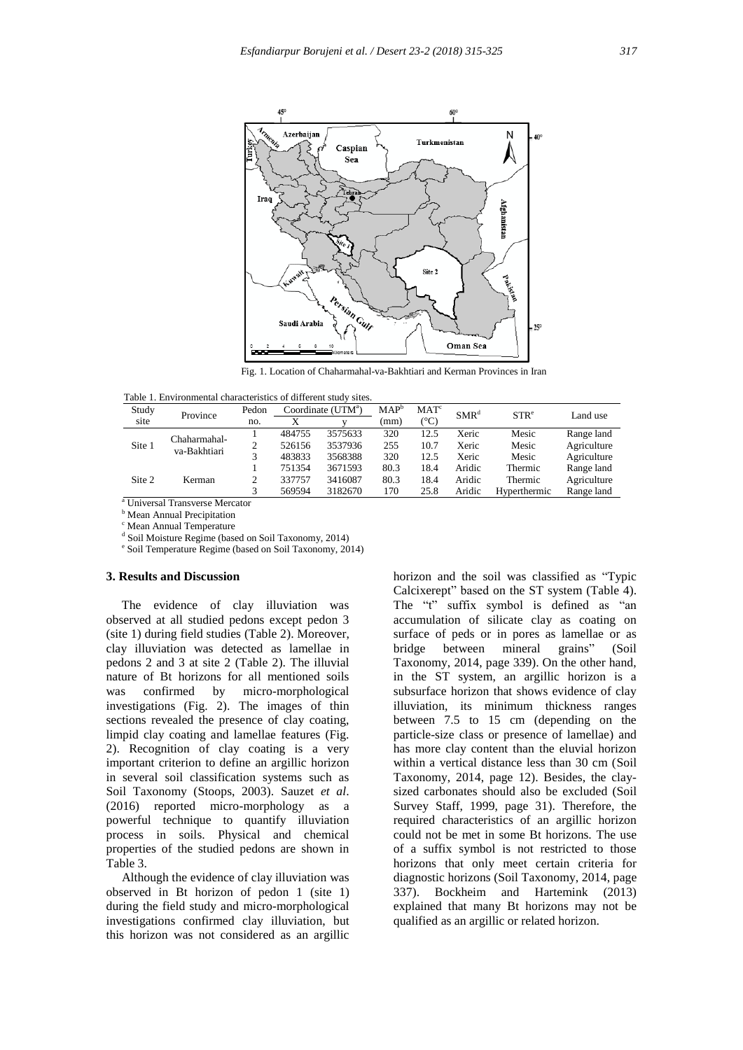

Fig. 1. Location of Chaharmahal-va-Bakhtiari and Kerman Provinces in Iran

|  | Table 1. Environmental characteristics of different study sites. |  |  |  |
|--|------------------------------------------------------------------|--|--|--|
|--|------------------------------------------------------------------|--|--|--|

| Study  | Pedon<br>Province |        |         | Coordinate $(UTMa)$ | $MAP^b$ | MAT <sup>c</sup> | SMR <sup>d</sup> | STR <sup>e</sup> | Land use    |
|--------|-------------------|--------|---------|---------------------|---------|------------------|------------------|------------------|-------------|
| site   |                   | no.    |         |                     | (mm)    | (°C)             |                  |                  |             |
|        | Chaharmahal-      |        | 484755  | 3575633             | 320     | 12.5             | Xeric            | Mesic            | Range land  |
| Site 1 | va-Bakhtiari      |        | 526156  | 3537936             | 255     | 10.7             | Xeric            | Mesic            | Agriculture |
|        |                   | 483833 | 3568388 | 320                 | 12.5    | Xeric            | Mesic            | Agriculture      |             |
|        |                   |        | 751354  | 3671593             | 80.3    | 18.4             | Aridic           | Thermic          | Range land  |
| Site 2 | Kerman            |        | 337757  | 3416087             | 80.3    | 18.4             | Aridic           | Thermic          | Agriculture |
|        |                   |        | 569594  | 3182670             | 170     | 25.8             | Aridic           | Hyperthermic     | Range land  |

<sup>a</sup> Universal Transverse Mercator

**b** Mean Annual Precipitation

<sup>c</sup> Mean Annual Temperature

<sup>d</sup> Soil Moisture Regime (based on Soil Taxonomy, 2014)

e Soil Temperature Regime (based on Soil Taxonomy, 2014)

#### **3. Results and Discussion**

 The evidence of clay illuviation was observed at all studied pedons except pedon 3 (site 1) during field studies (Table 2). Moreover, clay illuviation was detected as lamellae in pedons 2 and 3 at site 2 (Table 2). The illuvial nature of Bt horizons for all mentioned soils was confirmed by micro-morphological investigations (Fig. 2). The images of thin sections revealed the presence of clay coating, limpid clay coating and lamellae features (Fig. 2). Recognition of clay coating is a very important criterion to define an argillic horizon in several soil classification systems such as Soil Taxonomy (Stoops, 2003). Sauzet *et al*. (2016) reported micro-morphology as a powerful technique to quantify illuviation process in soils. Physical and chemical properties of the studied pedons are shown in Table 3.

 Although the evidence of clay illuviation was observed in Bt horizon of pedon 1 (site 1) during the field study and micro-morphological investigations confirmed clay illuviation, but this horizon was not considered as an argillic

horizon and the soil was classified as "Typic Calcixerept" based on the ST system (Table 4). The "t" suffix symbol is defined as "an accumulation of silicate clay as coating on surface of peds or in pores as lamellae or as bridge between mineral grains" (Soil Taxonomy, 2014, page 339). On the other hand, in the ST system, an argillic horizon is a subsurface horizon that shows evidence of clay illuviation, its minimum thickness ranges between 7.5 to 15 cm (depending on the particle-size class or presence of lamellae) and has more clay content than the eluvial horizon within a vertical distance less than 30 cm (Soil Taxonomy, 2014, page 12). Besides, the claysized carbonates should also be excluded (Soil Survey Staff, 1999, page 31). Therefore, the required characteristics of an argillic horizon could not be met in some Bt horizons. The use of a suffix symbol is not restricted to those horizons that only meet certain criteria for diagnostic horizons (Soil Taxonomy, 2014, page 337). Bockheim and Hartemink (2013) explained that many Bt horizons may not be qualified as an argillic or related horizon.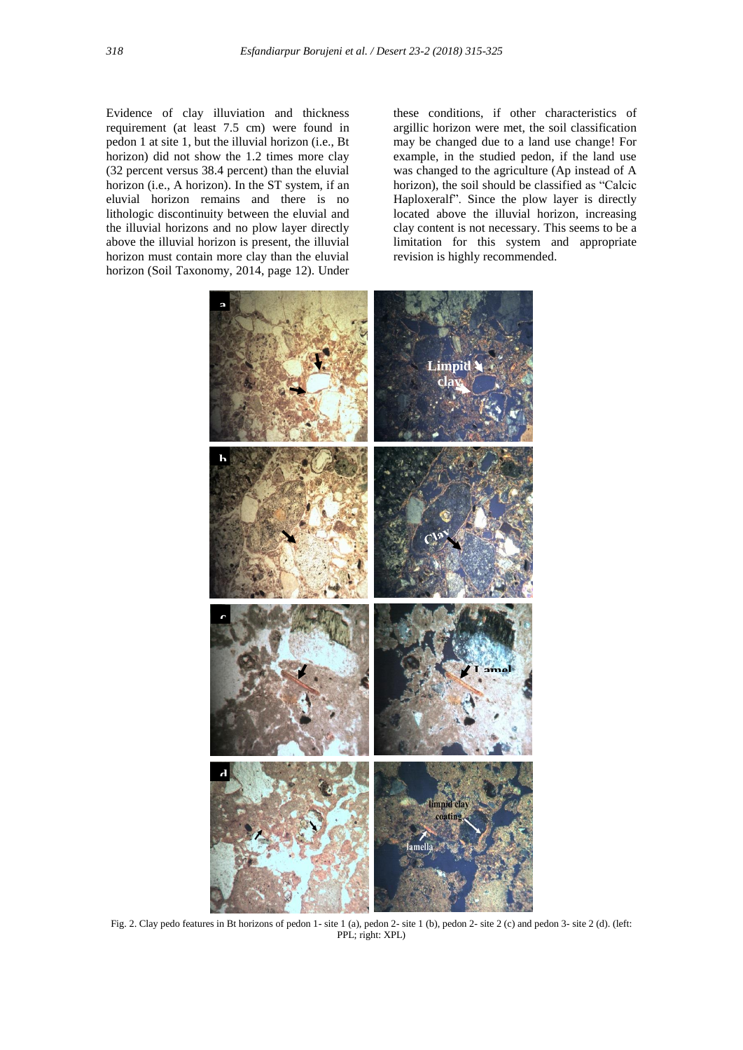Evidence of clay illuviation and thickness requirement (at least 7.5 cm) were found in pedon 1 at site 1, but the illuvial horizon (i.e., Bt horizon) did not show the 1.2 times more clay (32 percent versus 38.4 percent) than the eluvial horizon (i.e., A horizon). In the ST system, if an eluvial horizon remains and there is no lithologic discontinuity between the eluvial and the illuvial horizons and no plow layer directly above the illuvial horizon is present, the illuvial horizon must contain more clay than the eluvial horizon (Soil Taxonomy, 2014, page 12). Under these conditions, if other characteristics of argillic horizon were met, the soil classification may be changed due to a land use change! For example, in the studied pedon, if the land use was changed to the agriculture (Ap instead of A horizon), the soil should be classified as "Calcic Haploxeralf". Since the plow layer is directly located above the illuvial horizon, increasing clay content is not necessary. This seems to be a limitation for this system and appropriate revision is highly recommended.



Fig. 2. Clay pedo features in Bt horizons of pedon 1- site 1 (a), pedon 2- site 1 (b), pedon 2- site 2 (c) and pedon 3- site 2 (d). (left: PPL; right: XPL)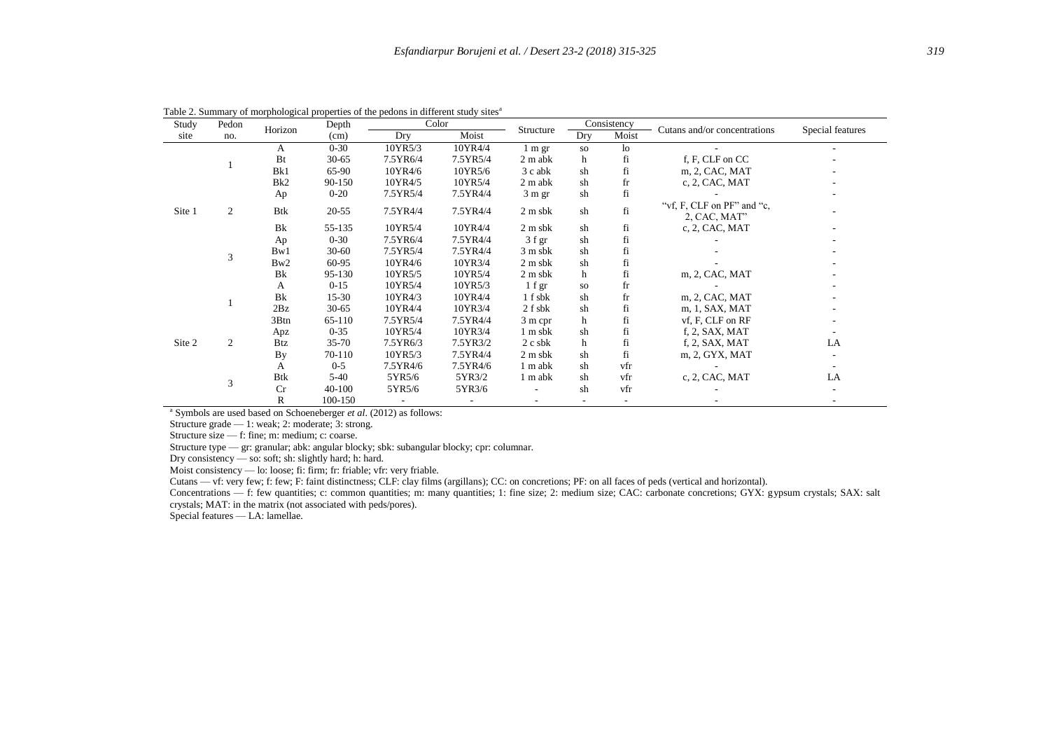| Study  | Pedon | Horizon         | Depth     | Color        |          |                          |              | Consistency    | Cutans and/or concentrations               |                  |
|--------|-------|-----------------|-----------|--------------|----------|--------------------------|--------------|----------------|--------------------------------------------|------------------|
| site   | no.   |                 | (cm)      | Moist<br>Dry |          | Structure                | Moist<br>Dry |                |                                            | Special features |
|        |       | A               | $0 - 30$  | 10YR5/3      | 10YR4/4  | 1 m gr                   | <b>SO</b>    | 1 <sub>o</sub> |                                            |                  |
|        |       | Bt              | $30 - 65$ | 7.5YR6/4     | 7.5YR5/4 | $2 m$ abk                | h            | fi             | f, F, CLF on CC                            |                  |
|        |       | Bk1             | 65-90     | 10YR4/6      | 10YR5/6  | 3 c abk                  | sh           | fi             | m, 2, CAC, MAT                             |                  |
|        |       | Bk <sub>2</sub> | 90-150    | 10YR4/5      | 10YR5/4  | 2 m abk                  | sh           | fr             | c, 2, CAC, MAT                             |                  |
|        |       | Ap              | $0 - 20$  | 7.5YR5/4     | 7.5YR4/4 | $3 \text{ m}$ gr         | sh           | fi             |                                            |                  |
| Site 1 | 2     | <b>Btk</b>      | $20 - 55$ | 7.5YR4/4     | 7.5YR4/4 | $2 \text{ m}$ sbk        | sh           | fi             | "vf, F, CLF on PF" and "c,<br>2, CAC, MAT" |                  |
|        |       | Bk              | 55-135    | 10YR5/4      | 10YR4/4  | $2 \text{ m}$ sbk        | sh           | fi             | c, 2, CAC, MAT                             |                  |
|        |       | Ap              | $0 - 30$  | 7.5YR6/4     | 7.5YR4/4 | $3 f$ gr                 | sh           | fi             |                                            |                  |
|        | 3     | Bw1             | $30 - 60$ | 7.5YR5/4     | 7.5YR4/4 | 3 m sbk                  | sh           | fi             |                                            |                  |
|        |       | Bw2             | 60-95     | 10YR4/6      | 10YR3/4  | 2 m s b k                | sh           | fi             |                                            |                  |
|        |       | Bk              | 95-130    | 10YR5/5      | 10YR5/4  | $2 \text{ m}$ sbk        | h            | fi             | m, 2, CAC, MAT                             |                  |
|        |       | A               | $0 - 15$  | 10YR5/4      | 10YR5/3  | $1$ f gr                 | <b>SO</b>    | fr             |                                            |                  |
|        |       | Bk              | $15-30$   | 10YR4/3      | 10YR4/4  | 1 f sbk                  | sh           | fr             | m, 2, CAC, MAT                             |                  |
|        |       | 2Bz             | $30 - 65$ | 10YR4/4      | 10YR3/4  | 2 f sbk                  | sh           | fi             | m, 1, SAX, MAT                             |                  |
|        |       | 3Btn            | 65-110    | 7.5YR5/4     | 7.5YR4/4 | 3 m cpr                  | h            | fi             | vf, F, CLF on RF                           |                  |
|        |       | Apz             | $0 - 35$  | 10YR5/4      | 10YR3/4  | 1 m sbk                  | sh           | fi             | f, 2, SAX, MAT                             |                  |
| Site 2 | 2     | <b>Btz</b>      | $35 - 70$ | 7.5YR6/3     | 7.5YR3/2 | $2$ c sbk                | h            | fi             | f, 2, SAX, MAT                             | LA               |
|        |       | By              | 70-110    | 10YR5/3      | 7.5YR4/4 | $2 \text{ m}$ sbk        | sh           | fi             | m, 2, GYX, MAT                             |                  |
|        |       | А               | $0 - 5$   | 7.5YR4/6     | 7.5YR4/6 | 1 m abk                  | sh           | vfr            |                                            |                  |
|        | 3     | Btk             | $5-40$    | 5YR5/6       | 5YR3/2   | 1 m abk                  | sh           | vfr            | c, 2, CAC, MAT                             | LA               |
|        |       | Cr              | 40-100    | 5YR5/6       | 5YR3/6   | $\overline{\phantom{a}}$ | sh           | vfr            |                                            |                  |
|        |       | R               | 100-150   |              |          |                          |              |                |                                            |                  |

Table 2. Summary of morphological properties of the pedons in different study sites<sup>a</sup>

a Symbols are used based on Schoeneberger *et al*. (2012) as follows:

Structure grade — 1: weak; 2: moderate; 3: strong.

Structure size — f: fine; m: medium; c: coarse.

Structure type — gr: granular; abk: angular blocky; sbk: subangular blocky; cpr: columnar.

Dry consistency — so: soft; sh: slightly hard; h: hard.

Moist consistency — lo: loose; fi: firm; fr: friable; vfr: very friable.

Cutans — vf: very few; f: few; F: faint distinctness; CLF: clay films (argillans); CC: on concretions; PF: on all faces of peds (vertical and horizontal).

Concentrations — f: few quantities; c: common quantities; m: many quantities; 1: fine size; 2: medium size; CAC: carbonate concretions; GYX: gypsum crystals; SAX: salt crystals; MAT: in the matrix (not associated with peds/pores).

Special features — LA: lamellae.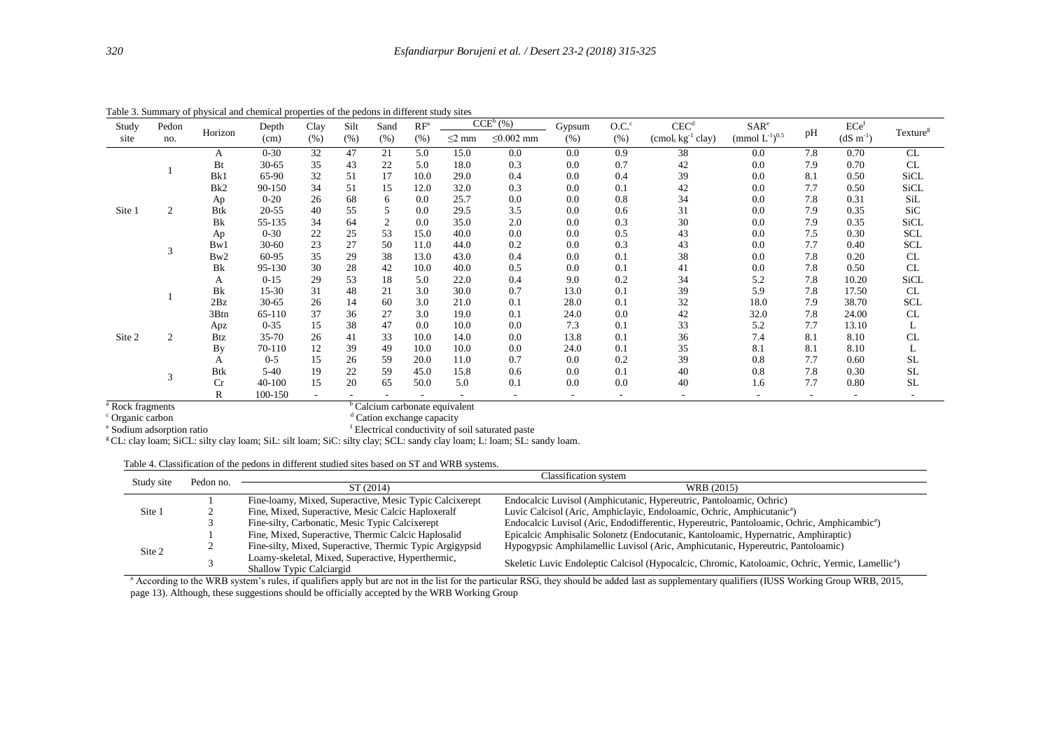| Study  | Pedon          |                       | Depth      | Clay | Silt | Sand           | $RF^a$ |             | CCE <sup>b</sup> (%) | Gypsum | O.C. <sup>c</sup> | CEC <sup>d</sup>                          | SAR <sup>e</sup>                |     | ECe <sup>f</sup> |                      |
|--------|----------------|-----------------------|------------|------|------|----------------|--------|-------------|----------------------|--------|-------------------|-------------------------------------------|---------------------------------|-----|------------------|----------------------|
| site   | no.            | Horizon               | (cm)       | (% ) | (% ) | (% )           | (% )   | $\leq$ 2 mm | $\leq 0.002$ mm      | (% )   | (% )              | (cmol <sub>c</sub> kg <sup>-1</sup> clay) | (mmol $L^{-1}$ ) <sup>0.5</sup> | pH  | $(dS \, m^{-1})$ | Texture <sup>g</sup> |
|        |                | A                     | $0 - 30$   | 32   | 47   | 21             | 5.0    | 15.0        | 0.0                  | 0.0    | 0.9               | 38                                        | 0.0                             | 7.8 | 0.70             | CL                   |
|        |                | Bt                    | $30 - 65$  | 35   | 43   | 22             | 5.0    | 18.0        | 0.3                  | 0.0    | 0.7               | 42                                        | 0.0                             | 7.9 | 0.70             | CL                   |
|        |                | Bk1                   | 65-90      | 32   | 51   | 17             | 10.0   | 29.0        | 0.4                  | 0.0    | 0.4               | 39                                        | 0.0                             | 8.1 | 0.50             | <b>SiCL</b>          |
|        |                | Bk2                   | 90-150     | 34   | 51   | 15             | 12.0   | 32.0        | 0.3                  | 0.0    | 0.1               | 42                                        | 0.0                             | 7.7 | 0.50             | <b>SiCL</b>          |
|        |                | Ap                    | $0 - 20$   | 26   | 68   | 6              | 0.0    | 25.7        | 0.0                  | 0.0    | 0.8               | 34                                        | 0.0                             | 7.8 | 0.31             | SiL                  |
| Site 1 | $\overline{c}$ | <b>Btk</b>            | $20 - 55$  | 40   | 55   | 5              | 0.0    | 29.5        | 3.5                  | 0.0    | 0.6               | 31                                        | 0.0                             | 7.9 | 0.35             | SiC                  |
|        |                | <b>B</b> <sub>k</sub> | 55-135     | 34   | 64   | $\mathfrak{2}$ | 0.0    | 35.0        | 2.0                  | 0.0    | 0.3               | 30                                        | 0.0                             | 7.9 | 0.35             | <b>SiCL</b>          |
|        |                | Ap                    | $0 - 30$   | 22   | 25   | 53             | 15.0   | 40.0        | 0.0                  | 0.0    | 0.5               | 43                                        | 0.0                             | 7.5 | 0.30             | <b>SCL</b>           |
|        |                | Bw1                   | $30 - 60$  | 23   | 27   | 50             | 11.0   | 44.0        | 0.2                  | 0.0    | 0.3               | 43                                        | 0.0                             | 7.7 | 0.40             | <b>SCL</b>           |
|        |                | Bw2                   | 60-95      | 35   | 29   | 38             | 13.0   | 43.0        | 0.4                  | 0.0    | 0.1               | 38                                        | 0.0                             | 7.8 | 0.20             | CL                   |
|        |                | <b>B</b> <sub>k</sub> | 95-130     | 30   | 28   | 42             | 10.0   | 40.0        | 0.5                  | 0.0    | 0.1               | 41                                        | 0.0                             | 7.8 | 0.50             | CL                   |
|        |                | A                     | $0 - 15$   | 29   | 53   | 18             | 5.0    | 22.0        | 0.4                  | 9.0    | 0.2               | 34                                        | 5.2                             | 7.8 | 10.20            | SiCL                 |
|        |                | Bk                    | $15 - 30$  | 31   | 48   | 21             | 3.0    | 30.0        | 0.7                  | 13.0   | 0.1               | 39                                        | 5.9                             | 7.8 | 17.50            | CL                   |
|        |                | 2Bz                   | $30 - 65$  | 26   | 14   | 60             | 3.0    | 21.0        | 0.1                  | 28.0   | 0.1               | 32                                        | 18.0                            | 7.9 | 38.70            | <b>SCL</b>           |
|        |                | 3Btn                  | 65-110     | 37   | 36   | 27             | 3.0    | 19.0        | 0.1                  | 24.0   | 0.0               | 42                                        | 32.0                            | 7.8 | 24.00            | CL                   |
|        |                | Apz                   | $0 - 35$   | 15   | 38   | 47             | 0.0    | 10.0        | 0.0                  | 7.3    | 0.1               | 33                                        | 5.2                             | 7.7 | 13.10            | L                    |
| Site 2 | $\overline{c}$ | <b>Btz</b>            | $35 - 70$  | 26   | 41   | 33             | 10.0   | 14.0        | 0.0                  | 13.8   | 0.1               | 36                                        | 7.4                             | 8.1 | 8.10             | CL                   |
|        |                | By                    | 70-110     | 12   | 39   | 49             | 10.0   | 10.0        | 0.0                  | 24.0   | 0.1               | 35                                        | 8.1                             | 8.1 | 8.10             | L                    |
|        |                | A                     | $0 - 5$    | 15   | 26   | 59             | 20.0   | 11.0        | 0.7                  | 0.0    | 0.2               | 39                                        | 0.8                             | 7.7 | 0.60             | <b>SL</b>            |
|        | 3              | <b>Btk</b>            | $5-40$     | 19   | 22   | 59             | 45.0   | 15.8        | 0.6                  | 0.0    | 0.1               | 40                                        | 0.8                             | 7.8 | 0.30             | <b>SL</b>            |
|        |                | $_{\rm Cr}$           | $40 - 100$ | 15   | 20   | 65             | 50.0   | 5.0         | 0.1                  | 0.0    | 0.0               | 40                                        | 1.6                             | 7.7 | 0.80             | <b>SL</b>            |
|        |                | R                     | 100-150    |      |      |                |        |             |                      |        |                   |                                           |                                 |     |                  |                      |

Table 3. Summary of physical and chemical properties of the pedons in different study sites

<sup>a</sup> Rock fragments <sup>c</sup> Organic carbon

<sup>b</sup> Calcium carbonate equivalent

<sup>d</sup> Cation exchange capacity

e Sodium adsorption ratio <sup>f</sup> Electrical conductivity of soil saturated paste

<sup>g</sup>CL: clay loam; SiCL: silty clay loam; SiL: silt loam; SiC: silty clay; SCL: sandy clay loam; L: loam; SL: sandy loam.

|  | Table 4. Classification of the pedons in different studied sites based on ST and WRB systems. |
|--|-----------------------------------------------------------------------------------------------|
|  |                                                                                               |

| Study site | Pedon no. | Classification system                                    |                                                                                                              |  |  |  |  |  |
|------------|-----------|----------------------------------------------------------|--------------------------------------------------------------------------------------------------------------|--|--|--|--|--|
|            |           | ST (2014)                                                | WRB (2015)                                                                                                   |  |  |  |  |  |
|            |           | Fine-loamy, Mixed, Superactive, Mesic Typic Calcixerept  | Endocalcic Luvisol (Amphicutanic, Hypereutric, Pantoloamic, Ochric)                                          |  |  |  |  |  |
| Site 1     |           | Fine, Mixed, Superactive, Mesic Calcic Haploxeralf       | Luvic Calcisol (Aric, Amphiclayic, Endoloamic, Ochric, Amphicutanic <sup>a</sup> )                           |  |  |  |  |  |
|            |           | Fine-silty, Carbonatic, Mesic Typic Calcixerept          | Endocalcic Luvisol (Aric, Endodifferentic, Hypereutric, Pantoloamic, Ochric, Amphicambic <sup>a</sup> )      |  |  |  |  |  |
|            |           | Fine, Mixed, Superactive, Thermic Calcic Haplosalid      | Epicalcic Amphisalic Solonetz (Endocutanic, Kantoloamic, Hypernatric, Amphiraptic)                           |  |  |  |  |  |
| Site 2     |           | Fine-silty, Mixed, Superactive, Thermic Typic Argigypsid | Hypogypsic Amphilamellic Luvisol (Aric, Amphicutanic, Hypereutric, Pantoloamic)                              |  |  |  |  |  |
|            |           | Loamy-skeletal, Mixed, Superactive, Hyperthermic,        | Skeletic Luvic Endoleptic Calcisol (Hypocalcic, Chromic, Katoloamic, Ochric, Yermic, Lamellic <sup>a</sup> ) |  |  |  |  |  |
|            |           | <b>Shallow Typic Calciargid</b>                          |                                                                                                              |  |  |  |  |  |

<sup>a</sup> According to the WRB system's rules, if qualifiers apply but are not in the list for the particular RSG, they should be added last as supplementary qualifiers (IUSS Working Group WRB, 2015, page 13). Although, these suggestions should be officially accepted by the WRB Working Group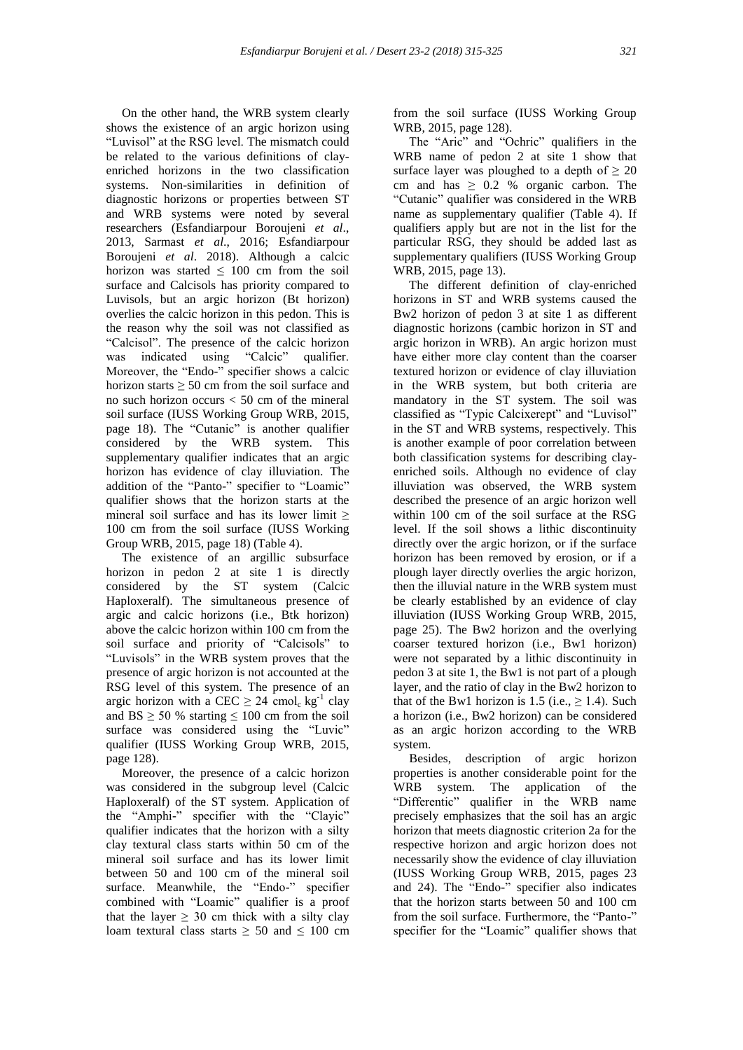On the other hand, the WRB system clearly shows the existence of an argic horizon using "Luvisol" at the RSG level. The mismatch could be related to the various definitions of clayenriched horizons in the two classification systems. Non-similarities in definition of diagnostic horizons or properties between ST and WRB systems were noted by several researchers (Esfandiarpour Boroujeni *et al*., 2013, Sarmast *et al*., 2016; Esfandiarpour Boroujeni *et al*. 2018). Although a calcic horizon was started  $\leq 100$  cm from the soil surface and Calcisols has priority compared to Luvisols, but an argic horizon (Bt horizon) overlies the calcic horizon in this pedon. This is the reason why the soil was not classified as "Calcisol". The presence of the calcic horizon was indicated using "Calcic" qualifier. Moreover, the "Endo-" specifier shows a calcic horizon starts  $\geq 50$  cm from the soil surface and no such horizon occurs  $< 50$  cm of the mineral soil surface (IUSS Working Group WRB, 2015, page 18). The "Cutanic" is another qualifier considered by the WRB system. This supplementary qualifier indicates that an argic horizon has evidence of clay illuviation. The addition of the "Panto-" specifier to "Loamic" qualifier shows that the horizon starts at the mineral soil surface and has its lower limit ≥ 100 cm from the soil surface (IUSS Working Group WRB, 2015, page 18) (Table 4).

 The existence of an argillic subsurface horizon in pedon 2 at site 1 is directly considered by the ST system (Calcic Haploxeralf). The simultaneous presence of argic and calcic horizons (i.e., Btk horizon) above the calcic horizon within 100 cm from the soil surface and priority of "Calcisols" to "Luvisols" in the WRB system proves that the presence of argic horizon is not accounted at the RSG level of this system. The presence of an argic horizon with a CEC  $\geq 24$  cmol<sub>c</sub> kg<sup>-1</sup> clay and  $BS \ge 50$  % starting  $\le 100$  cm from the soil surface was considered using the "Luvic" qualifier (IUSS Working Group WRB, 2015, page 128).

 Moreover, the presence of a calcic horizon was considered in the subgroup level (Calcic Haploxeralf) of the ST system. Application of the "Amphi-" specifier with the "Clayic" qualifier indicates that the horizon with a silty clay textural class starts within 50 cm of the mineral soil surface and has its lower limit between 50 and 100 cm of the mineral soil surface. Meanwhile, the "Endo-" specifier combined with "Loamic" qualifier is a proof that the layer  $\geq$  30 cm thick with a silty clay loam textural class starts  $\geq 50$  and  $\leq 100$  cm

from the soil surface (IUSS Working Group WRB, 2015, page 128).

 The "Aric" and "Ochric" qualifiers in the WRB name of pedon 2 at site 1 show that surface layer was ploughed to a depth of  $\geq 20$ cm and has  $\geq 0.2$  % organic carbon. The "Cutanic" qualifier was considered in the WRB name as supplementary qualifier (Table 4). If qualifiers apply but are not in the list for the particular RSG, they should be added last as supplementary qualifiers (IUSS Working Group WRB, 2015, page 13).

 The different definition of clay-enriched horizons in ST and WRB systems caused the Bw2 horizon of pedon 3 at site 1 as different diagnostic horizons (cambic horizon in ST and argic horizon in WRB). An argic horizon must have either more clay content than the coarser textured horizon or evidence of clay illuviation in the WRB system, but both criteria are mandatory in the ST system. The soil was classified as "Typic Calcixerept" and "Luvisol" in the ST and WRB systems, respectively. This is another example of poor correlation between both classification systems for describing clayenriched soils. Although no evidence of clay illuviation was observed, the WRB system described the presence of an argic horizon well within 100 cm of the soil surface at the RSG level. If the soil shows a lithic discontinuity directly over the argic horizon, or if the surface horizon has been removed by erosion, or if a plough layer directly overlies the argic horizon, then the illuvial nature in the WRB system must be clearly established by an evidence of clay illuviation (IUSS Working Group WRB, 2015, page 25). The Bw2 horizon and the overlying coarser textured horizon (i.e., Bw1 horizon) were not separated by a lithic discontinuity in pedon 3 at site 1, the Bw1 is not part of a plough layer, and the ratio of clay in the Bw2 horizon to that of the Bw1 horizon is 1.5 (i.e.,  $\geq$  1.4). Such a horizon (i.e., Bw2 horizon) can be considered as an argic horizon according to the WRB system.

 Besides, description of argic horizon properties is another considerable point for the WRB system. The application of the "Differentic" qualifier in the WRB name precisely emphasizes that the soil has an argic horizon that meets diagnostic criterion 2a for the respective horizon and argic horizon does not necessarily show the evidence of clay illuviation (IUSS Working Group WRB, 2015, pages 23 and 24). The "Endo-" specifier also indicates that the horizon starts between 50 and 100 cm from the soil surface. Furthermore, the "Panto-" specifier for the "Loamic" qualifier shows that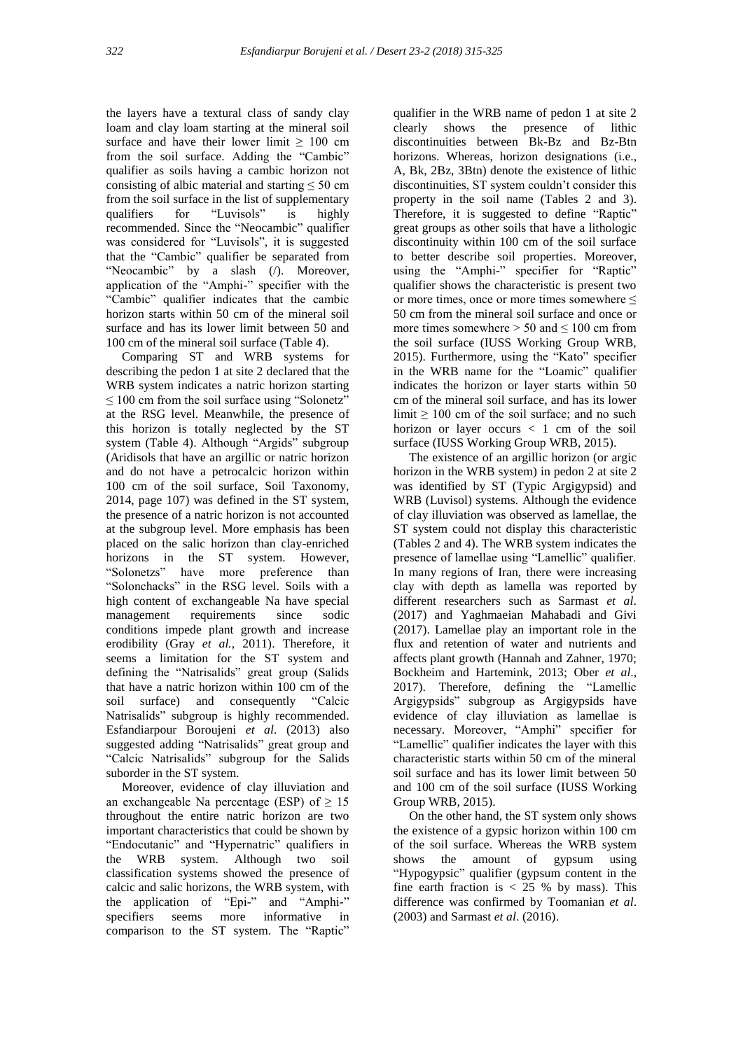the layers have a textural class of sandy clay loam and clay loam starting at the mineral soil surface and have their lower limit  $\geq 100$  cm from the soil surface. Adding the "Cambic" qualifier as soils having a cambic horizon not consisting of albic material and starting  $\leq 50$  cm from the soil surface in the list of supplementary qualifiers for "Luvisols" is highly recommended. Since the "Neocambic" qualifier was considered for "Luvisols", it is suggested that the "Cambic" qualifier be separated from "Neocambic" by a slash (/). Moreover, application of the "Amphi-" specifier with the "Cambic" qualifier indicates that the cambic horizon starts within 50 cm of the mineral soil surface and has its lower limit between 50 and 100 cm of the mineral soil surface (Table 4).

 Comparing ST and WRB systems for describing the pedon 1 at site 2 declared that the WRB system indicates a natric horizon starting  $\leq 100$  cm from the soil surface using "Solonetz" at the RSG level. Meanwhile, the presence of this horizon is totally neglected by the ST system (Table 4). Although "Argids" subgroup (Aridisols that have an argillic or natric horizon and do not have a petrocalcic horizon within 100 cm of the soil surface, Soil Taxonomy, 2014, page 107) was defined in the ST system, the presence of a natric horizon is not accounted at the subgroup level. More emphasis has been placed on the salic horizon than clay-enriched horizons in the ST system. However, "Solonetzs" have more preference than "Solonchacks" in the RSG level. Soils with a high content of exchangeable Na have special management requirements since sodic conditions impede plant growth and increase erodibility (Gray *et al.*, 2011). Therefore, it seems a limitation for the ST system and defining the "Natrisalids" great group (Salids that have a natric horizon within 100 cm of the soil surface) and consequently "Calcic Natrisalids" subgroup is highly recommended. Esfandiarpour Boroujeni *et al*. (2013) also suggested adding "Natrisalids" great group and "Calcic Natrisalids" subgroup for the Salids suborder in the ST system.

 Moreover, evidence of clay illuviation and an exchangeable Na percentage (ESP) of  $\geq 15$ throughout the entire natric horizon are two important characteristics that could be shown by "Endocutanic" and "Hypernatric" qualifiers in the WRB system. Although two soil classification systems showed the presence of calcic and salic horizons, the WRB system, with the application of "Epi-" and "Amphi-" specifiers seems more informative in comparison to the ST system. The "Raptic"

qualifier in the WRB name of pedon 1 at site 2 clearly shows the presence of lithic discontinuities between Bk-Bz and Bz-Btn horizons. Whereas, horizon designations (i.e., A, Bk, 2Bz, 3Btn) denote the existence of lithic discontinuities, ST system couldn't consider this property in the soil name (Tables 2 and 3). Therefore, it is suggested to define "Raptic" great groups as other soils that have a lithologic discontinuity within 100 cm of the soil surface to better describe soil properties. Moreover, using the "Amphi-" specifier for "Raptic" qualifier shows the characteristic is present two or more times, once or more times somewhere  $\leq$ 50 cm from the mineral soil surface and once or more times somewhere  $> 50$  and  $\leq 100$  cm from the soil surface (IUSS Working Group WRB, 2015). Furthermore, using the "Kato" specifier in the WRB name for the "Loamic" qualifier indicates the horizon or layer starts within 50 cm of the mineral soil surface, and has its lower limit  $\geq 100$  cm of the soil surface; and no such horizon or layer occurs < 1 cm of the soil surface (IUSS Working Group WRB, 2015).

 The existence of an argillic horizon (or argic horizon in the WRB system) in pedon 2 at site 2 was identified by ST (Typic Argigypsid) and WRB (Luvisol) systems. Although the evidence of clay illuviation was observed as lamellae, the ST system could not display this characteristic (Tables 2 and 4). The WRB system indicates the presence of lamellae using "Lamellic" qualifier. In many regions of Iran, there were increasing clay with depth as lamella was reported by different researchers such as Sarmast *et al*. (2017) and Yaghmaeian Mahabadi and Givi (2017). Lamellae play an important role in the flux and retention of water and nutrients and affects plant growth (Hannah and Zahner, 1970; Bockheim and Hartemink, 2013; Ober *et al*., 2017). Therefore, defining the "Lamellic Argigypsids" subgroup as Argigypsids have evidence of clay illuviation as lamellae is necessary. Moreover, "Amphi" specifier for "Lamellic" qualifier indicates the layer with this characteristic starts within 50 cm of the mineral soil surface and has its lower limit between 50 and 100 cm of the soil surface (IUSS Working Group WRB, 2015).

 On the other hand, the ST system only shows the existence of a gypsic horizon within 100 cm of the soil surface. Whereas the WRB system shows the amount of gypsum using "Hypogypsic" qualifier (gypsum content in the fine earth fraction is < 25 % by mass). This difference was confirmed by Toomanian *et al*. (2003) and Sarmast *et al*. (2016).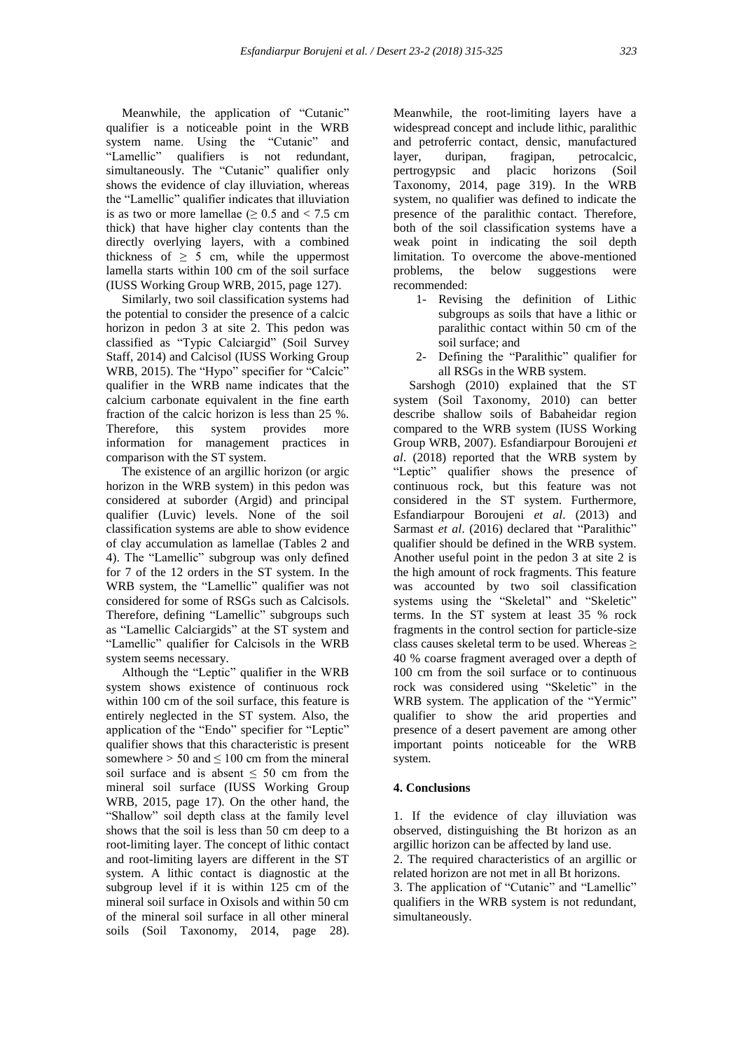Meanwhile, the application of "Cutanic" qualifier is a noticeable point in the WRB system name. Using the "Cutanic" and "Lamellic" qualifiers is not redundant, simultaneously. The "Cutanic" qualifier only shows the evidence of clay illuviation, whereas the "Lamellic" qualifier indicates that illuviation is as two or more lamellae ( $> 0.5$  and  $< 7.5$  cm thick) that have higher clay contents than the directly overlying layers, with a combined thickness of  $\geq$  5 cm, while the uppermost lamella starts within 100 cm of the soil surface (IUSS Working Group WRB, 2015, page 127).

 Similarly, two soil classification systems had the potential to consider the presence of a calcic horizon in pedon 3 at site 2. This pedon was classified as "Typic Calciargid" (Soil Survey Staff, 2014) and Calcisol (IUSS Working Group WRB, 2015). The "Hypo" specifier for "Calcic" qualifier in the WRB name indicates that the calcium carbonate equivalent in the fine earth fraction of the calcic horizon is less than 25 %. Therefore, this system provides more information for management practices in comparison with the ST system.

 The existence of an argillic horizon (or argic horizon in the WRB system) in this pedon was considered at suborder (Argid) and principal qualifier (Luvic) levels. None of the soil classification systems are able to show evidence of clay accumulation as lamellae (Tables 2 and 4). The "Lamellic" subgroup was only defined for 7 of the 12 orders in the ST system. In the WRB system, the "Lamellic" qualifier was not considered for some of RSGs such as Calcisols. Therefore, defining "Lamellic" subgroups such as "Lamellic Calciargids" at the ST system and "Lamellic" qualifier for Calcisols in the WRB system seems necessary.

 Although the "Leptic" qualifier in the WRB system shows existence of continuous rock within 100 cm of the soil surface, this feature is entirely neglected in the ST system. Also, the application of the "Endo" specifier for "Leptic" qualifier shows that this characteristic is present somewhere  $> 50$  and  $\leq 100$  cm from the mineral soil surface and is absent  $\leq 50$  cm from the mineral soil surface (IUSS Working Group WRB, 2015, page 17). On the other hand, the "Shallow" soil depth class at the family level shows that the soil is less than 50 cm deep to a root-limiting layer. The concept of lithic contact and root-limiting layers are different in the ST system. A lithic contact is diagnostic at the subgroup level if it is within 125 cm of the mineral soil surface in Oxisols and within 50 cm of the mineral soil surface in all other mineral soils (Soil Taxonomy, 2014, page 28).

Meanwhile, the root-limiting layers have a widespread concept and include lithic, paralithic and petroferric contact, densic, manufactured layer, duripan, fragipan, petrocalcic, pertrogypsic and placic horizons (Soil Taxonomy, 2014, page 319). In the WRB system, no qualifier was defined to indicate the presence of the paralithic contact. Therefore, both of the soil classification systems have a weak point in indicating the soil depth limitation. To overcome the above-mentioned problems, the below suggestions were recommended:

- 1- Revising the definition of Lithic subgroups as soils that have a lithic or paralithic contact within 50 cm of the soil surface; and
- 2- Defining the "Paralithic" qualifier for all RSGs in the WRB system.

 Sarshogh (2010) explained that the ST system (Soil Taxonomy, 2010) can better describe shallow soils of Babaheidar region compared to the WRB system (IUSS Working Group WRB, 2007). Esfandiarpour Boroujeni *et al*. (2018) reported that the WRB system by "Leptic" qualifier shows the presence of continuous rock, but this feature was not considered in the ST system. Furthermore, Esfandiarpour Boroujeni *et al*. (2013) and Sarmast *et al*. (2016) declared that "Paralithic" qualifier should be defined in the WRB system. Another useful point in the pedon 3 at site 2 is the high amount of rock fragments. This feature was accounted by two soil classification systems using the "Skeletal" and "Skeletic" terms. In the ST system at least 35 % rock fragments in the control section for particle-size class causes skeletal term to be used. Whereas  $\geq$ 40 % coarse fragment averaged over a depth of 100 cm from the soil surface or to continuous rock was considered using "Skeletic" in the WRB system. The application of the "Yermic" qualifier to show the arid properties and presence of a desert pavement are among other important points noticeable for the WRB system.

# **4. Conclusions**

1. If the evidence of clay illuviation was observed, distinguishing the Bt horizon as an argillic horizon can be affected by land use. 2. The required characteristics of an argillic or related horizon are not met in all Bt horizons. 3. The application of "Cutanic" and "Lamellic" qualifiers in the WRB system is not redundant, simultaneously.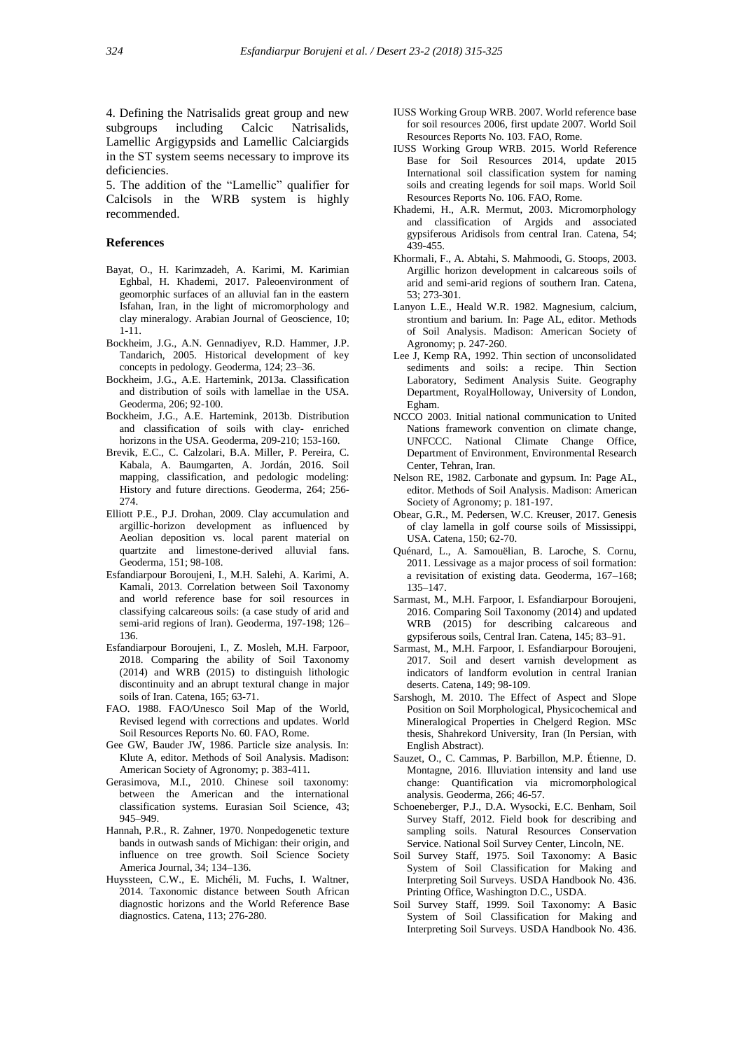4. Defining the Natrisalids great group and new subgroups including Calcic Natrisalids, Lamellic Argigypsids and Lamellic Calciargids in the ST system seems necessary to improve its deficiencies.

5. The addition of the "Lamellic" qualifier for Calcisols in the WRB system is highly recommended.

# **References**

- Bayat, O., H. Karimzadeh, A. Karimi, M. Karimian Eghbal, H. Khademi, 2017. Paleoenvironment of geomorphic surfaces of an alluvial fan in the eastern Isfahan, Iran, in the light of micromorphology and clay mineralogy. Arabian Journal of Geoscience, 10; 1-11.
- Bockheim, J.G., A.N. Gennadiyev, R.D. Hammer, J.P. Tandarich, 2005. Historical development of key concepts in pedology. Geoderma, 124; 23–36.
- Bockheim, J.G., A.E. Hartemink, 2013a. Classification and distribution of soils with lamellae in the USA. Geoderma, 206; 92-100.
- Bockheim, J.G., A.E. Hartemink, 2013b. Distribution and classification of soils with clay- enriched horizons in the USA. Geoderma, 209-210; 153-160.
- Brevik, E.C., C. Calzolari, B.A. Miller, P. Pereira, C. Kabala, A. Baumgarten, A. Jordán, 2016. Soil mapping, classification, and pedologic modeling: History and future directions. Geoderma, 264; 256- 274.
- Elliott P.E., P.J. Drohan, 2009. Clay accumulation and argillic-horizon development as influenced by Aeolian deposition vs. local parent material on quartzite and limestone-derived alluvial fans. Geoderma, 151; 98-108.
- Esfandiarpour Boroujeni, I., M.H. Salehi, A. Karimi, A. Kamali, 2013. Correlation between Soil Taxonomy and world reference base for soil resources in classifying calcareous soils: (a case study of arid and semi-arid regions of Iran). Geoderma, 197-198; 126– 136.
- Esfandiarpour Boroujeni, I., Z. Mosleh, M.H. Farpoor, 2018. Comparing the ability of Soil Taxonomy (2014) and WRB (2015) to distinguish lithologic discontinuity and an abrupt textural change in major soils of Iran. Catena, 165; 63-71.
- FAO. 1988. FAO/Unesco Soil Map of the World, Revised legend with corrections and updates. World Soil Resources Reports No. 60. FAO, Rome.
- Gee GW, Bauder JW, 1986. Particle size analysis. In: Klute A, editor. Methods of Soil Analysis. Madison: American Society of Agronomy; p. 383-411.
- Gerasimova, M.I., 2010. Chinese soil taxonomy: between the American and the international classification systems. Eurasian Soil Science, 43; 945–949.
- Hannah, P.R., R. Zahner, 1970. Nonpedogenetic texture bands in outwash sands of Michigan: their origin, and influence on tree growth. Soil Science Society America Journal, 34; 134–136.
- Huyssteen, C.W., E. Michéli, M. Fuchs, I. Waltner, 2014. Taxonomic distance between South African diagnostic horizons and the World Reference Base diagnostics. Catena, 113; 276-280.
- IUSS Working Group WRB. 2007. World reference base for soil resources 2006, first update 2007. World Soil Resources Reports No. 103. FAO, Rome.
- IUSS Working Group WRB. 2015. World Reference Base for Soil Resources 2014, update 2015 International soil classification system for naming soils and creating legends for soil maps. World Soil Resources Reports No. 106. FAO, Rome.
- Khademi, H., A.R. Mermut, 2003. Micromorphology and classification of Argids and associated gypsiferous Aridisols from central Iran. Catena, 54; 439-455.
- Khormali, F., A. Abtahi, S. Mahmoodi, G. Stoops, 2003. Argillic horizon development in calcareous soils of arid and semi-arid regions of southern Iran. Catena, 53; 273-301.
- Lanyon L.E., Heald W.R. 1982. Magnesium, calcium, strontium and barium. In: Page AL, editor. Methods of Soil Analysis. Madison: American Society of Agronomy; p. 247-260.
- Lee J, Kemp RA, 1992. Thin section of unconsolidated sediments and soils: a recipe. Thin Section Laboratory, Sediment Analysis Suite. Geography Department, RoyalHolloway, University of London, Egham.
- NCCO 2003. Initial national communication to United Nations framework convention on climate change, UNFCCC. National Climate Change Office, Department of Environment, Environmental Research Center, Tehran, Iran.
- Nelson RE, 1982. Carbonate and gypsum. In: Page AL, editor. Methods of Soil Analysis. Madison: American Society of Agronomy; p. 181-197.
- Obear, G.R., M. Pedersen, W.C. Kreuser, 2017. Genesis of clay lamella in golf course soils of Mississippi, USA. Catena, 150; 62-70.
- Quénard, L., A. Samouëlian, B. Laroche, S. Cornu, 2011. Lessivage as a major process of soil formation: a revisitation of existing data. Geoderma, 167–168; 135–147.
- Sarmast, M., M.H. Farpoor, I. Esfandiarpour Boroujeni, 2016. Comparing Soil Taxonomy (2014) and updated WRB (2015) for describing calcareous and gypsiferous soils, Central Iran. Catena, 145; 83–91.
- Sarmast, M., M.H. Farpoor, I. Esfandiarpour Boroujeni, 2017. Soil and desert varnish development as indicators of landform evolution in central Iranian deserts. Catena, 149; 98-109.
- Sarshogh, M. 2010. The Effect of Aspect and Slope Position on Soil Morphological, Physicochemical and Mineralogical Properties in Chelgerd Region. MSc thesis, Shahrekord University, Iran (In Persian, with English Abstract).
- Sauzet, O., C. Cammas, P. Barbillon, M.P. Étienne, D. Montagne, 2016. Illuviation intensity and land use change: Quantification via micromorphological analysis. Geoderma, 266; 46-57.
- Schoeneberger, P.J., D.A. Wysocki, E.C. Benham, Soil Survey Staff, 2012. Field book for describing and sampling soils. Natural Resources Conservation Service. National Soil Survey Center, Lincoln, NE.
- Soil Survey Staff, 1975. Soil Taxonomy: A Basic System of Soil Classification for Making and Interpreting Soil Surveys. USDA Handbook No. 436. Printing Office, Washington D.C., USDA.
- Soil Survey Staff, 1999. Soil Taxonomy: A Basic System of Soil Classification for Making and Interpreting Soil Surveys. USDA Handbook No. 436.